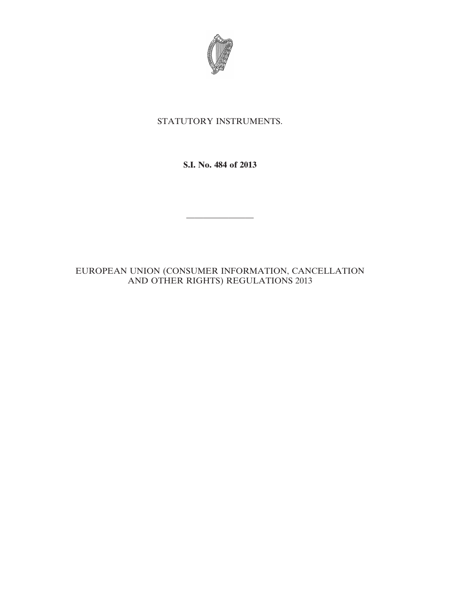

# STATUTORY INSTRUMENTS.

**S.I. No. 484 of 2013**

————————

# EUROPEAN UNION (CONSUMER INFORMATION, CANCELLATION AND OTHER RIGHTS) REGULATIONS 2013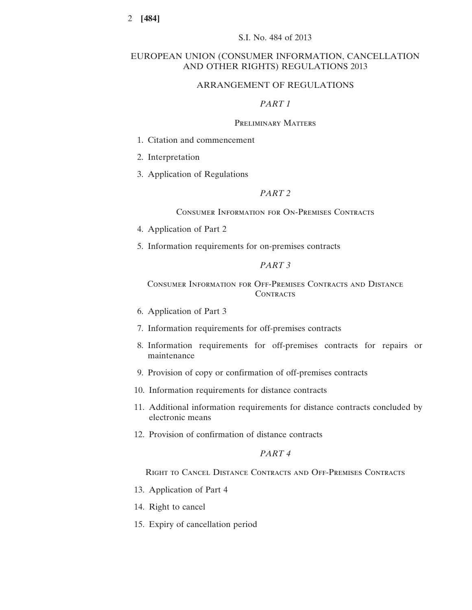# EUROPEAN UNION (CONSUMER INFORMATION, CANCELLATION AND OTHER RIGHTS) REGULATIONS 2013

# ARRANGEMENT OF REGULATIONS

# *PART 1*

# Preliminary Matters

- 1. Citation and commencement
- 2. Interpretation
- 3. Application of Regulations

### *PART 2*

Consumer Information for On-Premises Contracts

- 4. Application of Part 2
- 5. Information requirements for on-premises contracts

# *PART 3*

# Consumer Information for Off-Premises Contracts and Distance **CONTRACTS**

- 6. Application of Part 3
- 7. Information requirements for off-premises contracts
- 8. Information requirements for off-premises contracts for repairs or maintenance
- 9. Provision of copy or confirmation of off-premises contracts
- 10. Information requirements for distance contracts
- 11. Additional information requirements for distance contracts concluded by electronic means
- 12. Provision of confirmation of distance contracts

# *PART 4*

Right to Cancel Distance Contracts and Off-Premises Contracts

- 13. Application of Part 4
- 14. Right to cancel
- 15. Expiry of cancellation period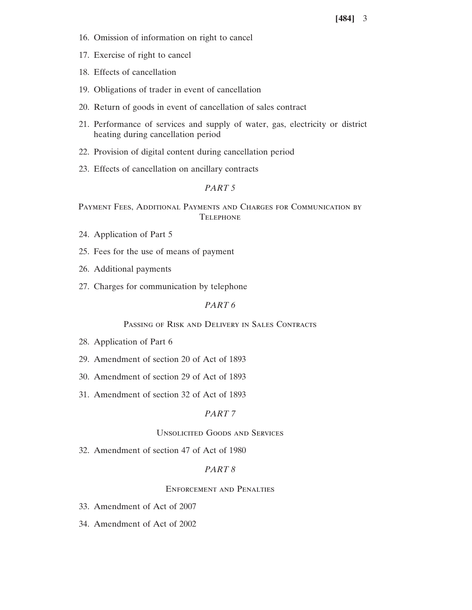- 16. Omission of information on right to cancel
- 17. Exercise of right to cancel
- 18. Effects of cancellation
- 19. Obligations of trader in event of cancellation
- 20. Return of goods in event of cancellation of sales contract
- 21. Performance of services and supply of water, gas, electricity or district heating during cancellation period
- 22. Provision of digital content during cancellation period
- 23. Effects of cancellation on ancillary contracts

# *PART 5*

PAYMENT FEES, ADDITIONAL PAYMENTS AND CHARGES FOR COMMUNICATION BY **TELEPHONE** 

- 24. Application of Part 5
- 25. Fees for the use of means of payment
- 26. Additional payments
- 27. Charges for communication by telephone

# *PART 6*

## Passing of Risk and Delivery in Sales Contracts

- 28. Application of Part 6
- 29. Amendment of section 20 of Act of 1893
- 30. Amendment of section 29 of Act of 1893
- 31. Amendment of section 32 of Act of 1893

# *PART 7*

# Unsolicited Goods and Services

32. Amendment of section 47 of Act of 1980

# *PART 8*

# Enforcement and Penalties

- 33. Amendment of Act of 2007
- 34. Amendment of Act of 2002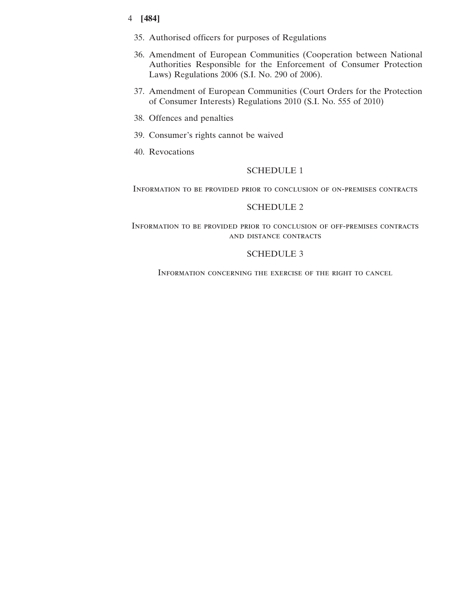- 35. Authorised officers for purposes of Regulations
- 36. Amendment of European Communities (Cooperation between National Authorities Responsible for the Enforcement of Consumer Protection Laws) Regulations 2006 (S.I. No. 290 of 2006).
- 37. Amendment of European Communities (Court Orders for the Protection of Consumer Interests) Regulations 2010 (S.I. No. 555 of 2010)
- 38. Offences and penalties
- 39. Consumer's rights cannot be waived
- 40. Revocations

#### SCHEDULE 1

Information to be provided prior to conclusion of on-premises contracts

### SCHEDULE 2

Information to be provided prior to conclusion of off-premises contracts and distance contracts

### SCHEDULE 3

Information concerning the exercise of the right to cancel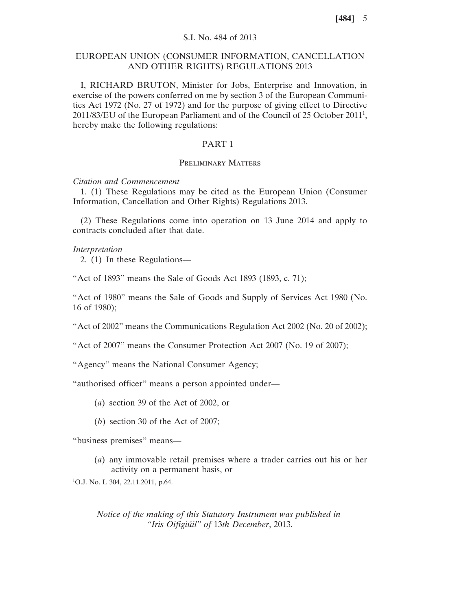## S.I. No. 484 of 2013

# EUROPEAN UNION (CONSUMER INFORMATION, CANCELLATION AND OTHER RIGHTS) REGULATIONS 2013

I, RICHARD BRUTON, Minister for Jobs, Enterprise and Innovation, in exercise of the powers conferred on me by section 3 of the European Communities Act 1972 (No. 27 of 1972) and for the purpose of giving effect to Directive 2011/83/EU of the European Parliament and of the Council of 25 October 2011<sup>1</sup>, hereby make the following regulations:

# PART 1

#### Preliminary Matters

#### *Citation and Commencement*

1. (1) These Regulations may be cited as the European Union (Consumer Information, Cancellation and Other Rights) Regulations 2013.

(2) These Regulations come into operation on 13 June 2014 and apply to contracts concluded after that date.

#### *Interpretation*

2. (1) In these Regulations—

"Act of 1893" means the Sale of Goods Act 1893 (1893, c. 71);

"Act of 1980" means the Sale of Goods and Supply of Services Act 1980 (No. 16 of 1980);

"Act of 2002" means the Communications Regulation Act 2002 (No. 20 of 2002);

"Act of 2007" means the Consumer Protection Act 2007 (No. 19 of 2007);

"Agency" means the National Consumer Agency;

"authorised officer" means a person appointed under—

(*a*) section 39 of the Act of 2002, or

(*b*) section 30 of the Act of 2007;

"business premises" means—

(*a*) any immovable retail premises where a trader carries out his or her activity on a permanent basis, or

<sup>1</sup>O.J. No. L 304, 22.11.2011, p.64.

*Notice of the making of this Statutory Instrument was published in "Iris Oifigiúil" of* 13*th December*, 2013.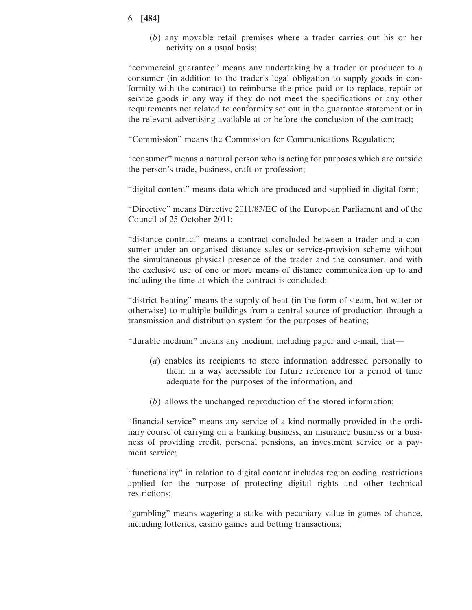(*b*) any movable retail premises where a trader carries out his or her activity on a usual basis;

"commercial guarantee" means any undertaking by a trader or producer to a consumer (in addition to the trader's legal obligation to supply goods in conformity with the contract) to reimburse the price paid or to replace, repair or service goods in any way if they do not meet the specifications or any other requirements not related to conformity set out in the guarantee statement or in the relevant advertising available at or before the conclusion of the contract;

"Commission" means the Commission for Communications Regulation;

"consumer" means a natural person who is acting for purposes which are outside the person's trade, business, craft or profession;

"digital content" means data which are produced and supplied in digital form;

"Directive" means Directive 2011/83/EC of the European Parliament and of the Council of 25 October 2011;

"distance contract" means a contract concluded between a trader and a consumer under an organised distance sales or service-provision scheme without the simultaneous physical presence of the trader and the consumer, and with the exclusive use of one or more means of distance communication up to and including the time at which the contract is concluded;

"district heating" means the supply of heat (in the form of steam, hot water or otherwise) to multiple buildings from a central source of production through a transmission and distribution system for the purposes of heating;

"durable medium" means any medium, including paper and e-mail, that—

- (*a*) enables its recipients to store information addressed personally to them in a way accessible for future reference for a period of time adequate for the purposes of the information, and
- (*b*) allows the unchanged reproduction of the stored information;

"financial service" means any service of a kind normally provided in the ordinary course of carrying on a banking business, an insurance business or a business of providing credit, personal pensions, an investment service or a payment service;

"functionality" in relation to digital content includes region coding, restrictions applied for the purpose of protecting digital rights and other technical restrictions;

"gambling" means wagering a stake with pecuniary value in games of chance, including lotteries, casino games and betting transactions;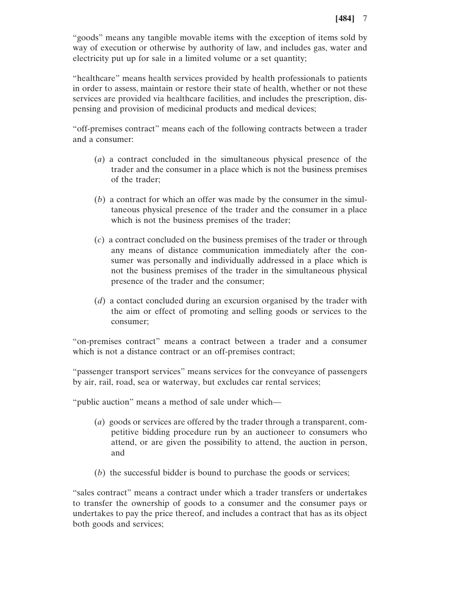"goods" means any tangible movable items with the exception of items sold by way of execution or otherwise by authority of law, and includes gas, water and electricity put up for sale in a limited volume or a set quantity;

"healthcare" means health services provided by health professionals to patients in order to assess, maintain or restore their state of health, whether or not these services are provided via healthcare facilities, and includes the prescription, dispensing and provision of medicinal products and medical devices;

"off-premises contract" means each of the following contracts between a trader and a consumer:

- (*a*) a contract concluded in the simultaneous physical presence of the trader and the consumer in a place which is not the business premises of the trader;
- (*b*) a contract for which an offer was made by the consumer in the simultaneous physical presence of the trader and the consumer in a place which is not the business premises of the trader;
- (*c*) a contract concluded on the business premises of the trader or through any means of distance communication immediately after the consumer was personally and individually addressed in a place which is not the business premises of the trader in the simultaneous physical presence of the trader and the consumer;
- (*d*) a contact concluded during an excursion organised by the trader with the aim or effect of promoting and selling goods or services to the consumer;

"on-premises contract" means a contract between a trader and a consumer which is not a distance contract or an off-premises contract;

"passenger transport services" means services for the conveyance of passengers by air, rail, road, sea or waterway, but excludes car rental services;

"public auction" means a method of sale under which—

- (*a*) goods or services are offered by the trader through a transparent, competitive bidding procedure run by an auctioneer to consumers who attend, or are given the possibility to attend, the auction in person, and
- (*b*) the successful bidder is bound to purchase the goods or services;

"sales contract" means a contract under which a trader transfers or undertakes to transfer the ownership of goods to a consumer and the consumer pays or undertakes to pay the price thereof, and includes a contract that has as its object both goods and services;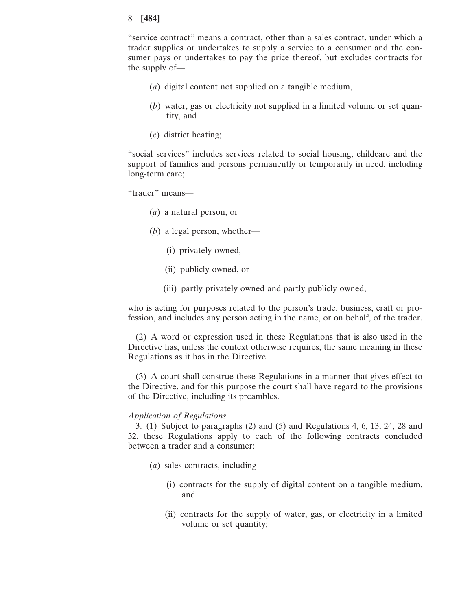"service contract" means a contract, other than a sales contract, under which a trader supplies or undertakes to supply a service to a consumer and the consumer pays or undertakes to pay the price thereof, but excludes contracts for the supply of—

- (*a*) digital content not supplied on a tangible medium,
- (*b*) water, gas or electricity not supplied in a limited volume or set quantity, and
- (*c*) district heating;

"social services" includes services related to social housing, childcare and the support of families and persons permanently or temporarily in need, including long-term care;

"trader" means—

- (*a*) a natural person, or
- (*b*) a legal person, whether—
	- (i) privately owned,
	- (ii) publicly owned, or
	- (iii) partly privately owned and partly publicly owned,

who is acting for purposes related to the person's trade, business, craft or profession, and includes any person acting in the name, or on behalf, of the trader.

(2) A word or expression used in these Regulations that is also used in the Directive has, unless the context otherwise requires, the same meaning in these Regulations as it has in the Directive.

(3) A court shall construe these Regulations in a manner that gives effect to the Directive, and for this purpose the court shall have regard to the provisions of the Directive, including its preambles.

# *Application of Regulations*

3. (1) Subject to paragraphs (2) and (5) and Regulations 4, 6, 13, 24, 28 and 32, these Regulations apply to each of the following contracts concluded between a trader and a consumer:

- (*a*) sales contracts, including—
	- (i) contracts for the supply of digital content on a tangible medium, and
	- (ii) contracts for the supply of water, gas, or electricity in a limited volume or set quantity;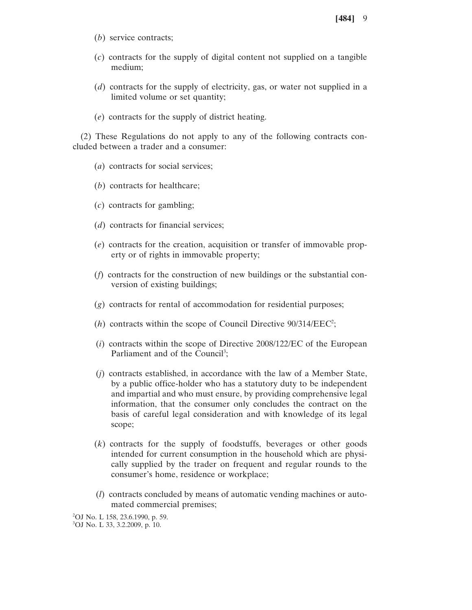- (*b*) service contracts;
- (*c*) contracts for the supply of digital content not supplied on a tangible medium;
- (*d*) contracts for the supply of electricity, gas, or water not supplied in a limited volume or set quantity;
- (*e*) contracts for the supply of district heating.

(2) These Regulations do not apply to any of the following contracts concluded between a trader and a consumer:

- (*a*) contracts for social services;
- (*b*) contracts for healthcare;
- (*c*) contracts for gambling;
- (*d*) contracts for financial services;
- (*e*) contracts for the creation, acquisition or transfer of immovable property or of rights in immovable property;
- (*f*) contracts for the construction of new buildings or the substantial conversion of existing buildings;
- (*g*) contracts for rental of accommodation for residential purposes;
- (*h*) contracts within the scope of Council Directive  $90/314/EEC^2$ ;
- (*i*) contracts within the scope of Directive 2008/122/EC of the European Parliament and of the Council<sup>3</sup>;
- (*j*) contracts established, in accordance with the law of a Member State, by a public office-holder who has a statutory duty to be independent and impartial and who must ensure, by providing comprehensive legal information, that the consumer only concludes the contract on the basis of careful legal consideration and with knowledge of its legal scope;
- (*k*) contracts for the supply of foodstuffs, beverages or other goods intended for current consumption in the household which are physically supplied by the trader on frequent and regular rounds to the consumer's home, residence or workplace;
- (*l*) contracts concluded by means of automatic vending machines or automated commercial premises;

2 OJ No. L 158, 23.6.1990, p. 59. 3 OJ No. L 33, 3.2.2009, p. 10.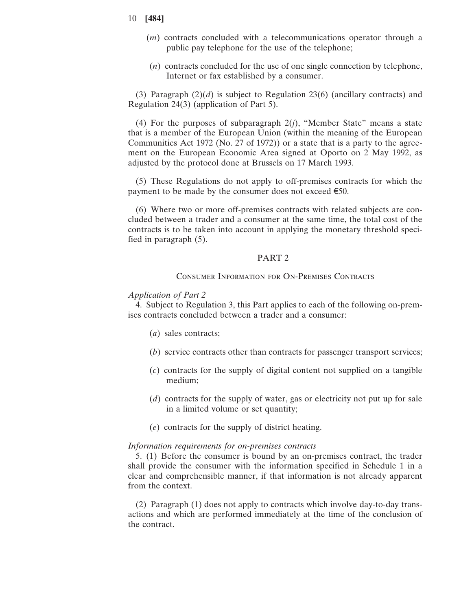- (*m*) contracts concluded with a telecommunications operator through a public pay telephone for the use of the telephone;
- (*n*) contracts concluded for the use of one single connection by telephone, Internet or fax established by a consumer.

(3) Paragraph (2)(*d*) is subject to Regulation 23(6) (ancillary contracts) and Regulation 24(3) (application of Part 5).

(4) For the purposes of subparagraph  $2(j)$ , "Member State" means a state that is a member of the European Union (within the meaning of the European Communities Act 1972 (No. 27 of 1972)) or a state that is a party to the agreement on the European Economic Area signed at Oporto on 2 May 1992, as adjusted by the protocol done at Brussels on 17 March 1993.

(5) These Regulations do not apply to off-premises contracts for which the payment to be made by the consumer does not exceed  $\epsilon$ 50.

(6) Where two or more off-premises contracts with related subjects are concluded between a trader and a consumer at the same time, the total cost of the contracts is to be taken into account in applying the monetary threshold specified in paragraph (5).

### PART 2

### Consumer Information for On-Premises Contracts

#### *Application of Part 2*

4. Subject to Regulation 3, this Part applies to each of the following on-premises contracts concluded between a trader and a consumer:

- (*a*) sales contracts;
- (*b*) service contracts other than contracts for passenger transport services;
- (*c*) contracts for the supply of digital content not supplied on a tangible medium;
- (*d*) contracts for the supply of water, gas or electricity not put up for sale in a limited volume or set quantity;
- (*e*) contracts for the supply of district heating.

#### *Information requirements for on-premises contracts*

5. (1) Before the consumer is bound by an on-premises contract, the trader shall provide the consumer with the information specified in Schedule 1 in a clear and comprehensible manner, if that information is not already apparent from the context.

(2) Paragraph (1) does not apply to contracts which involve day-to-day transactions and which are performed immediately at the time of the conclusion of the contract.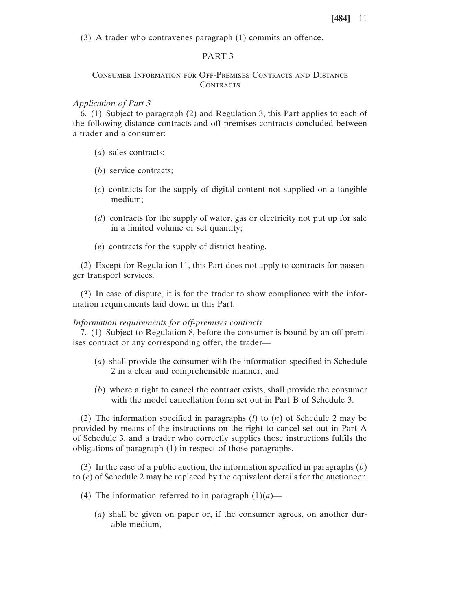(3) A trader who contravenes paragraph (1) commits an offence.

# PART 3

# Consumer Information for Off-Premises Contracts and Distance CONTRACTS

#### *Application of Part 3*

6. (1) Subject to paragraph (2) and Regulation 3, this Part applies to each of the following distance contracts and off-premises contracts concluded between a trader and a consumer:

- (*a*) sales contracts;
- (*b*) service contracts;
- (*c*) contracts for the supply of digital content not supplied on a tangible medium;
- (*d*) contracts for the supply of water, gas or electricity not put up for sale in a limited volume or set quantity;
- (*e*) contracts for the supply of district heating.

(2) Except for Regulation 11, this Part does not apply to contracts for passenger transport services.

(3) In case of dispute, it is for the trader to show compliance with the information requirements laid down in this Part.

#### *Information requirements for off-premises contracts*

7. (1) Subject to Regulation 8, before the consumer is bound by an off-premises contract or any corresponding offer, the trader—

- (*a*) shall provide the consumer with the information specified in Schedule 2 in a clear and comprehensible manner, and
- (*b*) where a right to cancel the contract exists, shall provide the consumer with the model cancellation form set out in Part B of Schedule 3.

(2) The information specified in paragraphs (*l*) to (*n*) of Schedule 2 may be provided by means of the instructions on the right to cancel set out in Part A of Schedule 3, and a trader who correctly supplies those instructions fulfils the obligations of paragraph (1) in respect of those paragraphs.

(3) In the case of a public auction, the information specified in paragraphs (*b*) to (*e*) of Schedule 2 may be replaced by the equivalent details for the auctioneer.

- (4) The information referred to in paragraph  $(1)(a)$ 
	- (*a*) shall be given on paper or, if the consumer agrees, on another durable medium,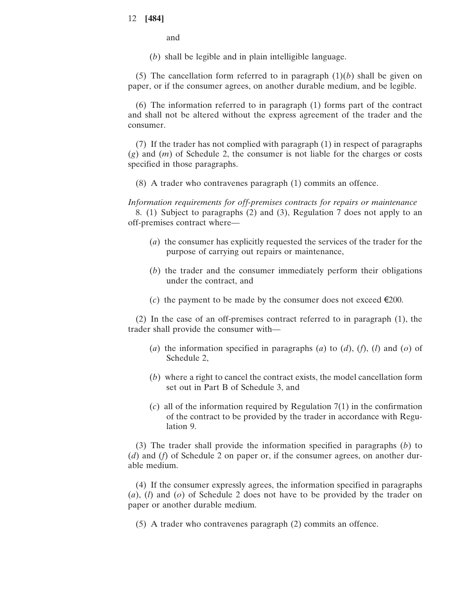and

(*b*) shall be legible and in plain intelligible language.

(5) The cancellation form referred to in paragraph  $(1)(b)$  shall be given on paper, or if the consumer agrees, on another durable medium, and be legible.

(6) The information referred to in paragraph (1) forms part of the contract and shall not be altered without the express agreement of the trader and the consumer.

(7) If the trader has not complied with paragraph (1) in respect of paragraphs (*g*) and (*m*) of Schedule 2, the consumer is not liable for the charges or costs specified in those paragraphs.

(8) A trader who contravenes paragraph (1) commits an offence.

*Information requirements for off-premises contracts for repairs or maintenance* 8. (1) Subject to paragraphs (2) and (3), Regulation 7 does not apply to an off-premises contract where—

- (*a*) the consumer has explicitly requested the services of the trader for the purpose of carrying out repairs or maintenance,
- (*b*) the trader and the consumer immediately perform their obligations under the contract, and
- (*c*) the payment to be made by the consumer does not exceed  $\epsilon$ 200.

(2) In the case of an off-premises contract referred to in paragraph (1), the trader shall provide the consumer with—

- (*a*) the information specified in paragraphs (*a*) to (*d*), (*f*), (*l*) and (*o*) of Schedule 2,
- (*b*) where a right to cancel the contract exists, the model cancellation form set out in Part B of Schedule 3, and
- (*c*) all of the information required by Regulation 7(1) in the confirmation of the contract to be provided by the trader in accordance with Regulation 9.

(3) The trader shall provide the information specified in paragraphs (*b*) to (*d*) and (*f*) of Schedule 2 on paper or, if the consumer agrees, on another durable medium.

(4) If the consumer expressly agrees, the information specified in paragraphs (*a*), (*l*) and (*o*) of Schedule 2 does not have to be provided by the trader on paper or another durable medium.

(5) A trader who contravenes paragraph (2) commits an offence.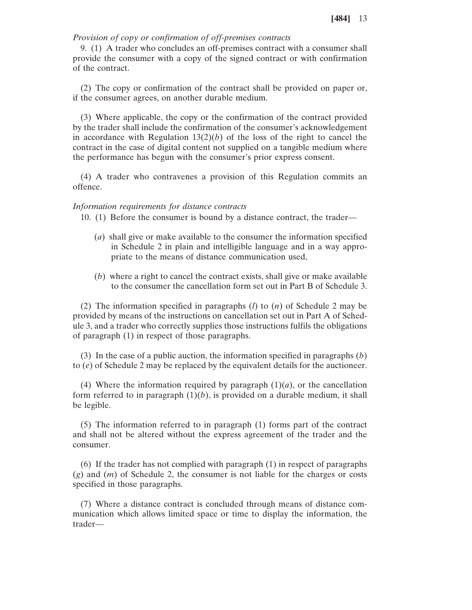### *Provision of copy or confirmation of off-premises contracts*

9. (1) A trader who concludes an off-premises contract with a consumer shall provide the consumer with a copy of the signed contract or with confirmation of the contract.

(2) The copy or confirmation of the contract shall be provided on paper or, if the consumer agrees, on another durable medium.

(3) Where applicable, the copy or the confirmation of the contract provided by the trader shall include the confirmation of the consumer's acknowledgement in accordance with Regulation  $13(2)(b)$  of the loss of the right to cancel the contract in the case of digital content not supplied on a tangible medium where the performance has begun with the consumer's prior express consent.

(4) A trader who contravenes a provision of this Regulation commits an offence.

#### *Information requirements for distance contracts*

10. (1) Before the consumer is bound by a distance contract, the trader—

- (*a*) shall give or make available to the consumer the information specified in Schedule 2 in plain and intelligible language and in a way appropriate to the means of distance communication used,
- (*b*) where a right to cancel the contract exists, shall give or make available to the consumer the cancellation form set out in Part B of Schedule 3.

(2) The information specified in paragraphs (*l*) to (*n*) of Schedule 2 may be provided by means of the instructions on cancellation set out in Part A of Schedule 3, and a trader who correctly supplies those instructions fulfils the obligations of paragraph (1) in respect of those paragraphs.

(3) In the case of a public auction, the information specified in paragraphs (*b*) to (*e*) of Schedule 2 may be replaced by the equivalent details for the auctioneer.

(4) Where the information required by paragraph  $(1)(a)$ , or the cancellation form referred to in paragraph  $(1)(b)$ , is provided on a durable medium, it shall be legible.

(5) The information referred to in paragraph (1) forms part of the contract and shall not be altered without the express agreement of the trader and the consumer.

(6) If the trader has not complied with paragraph (1) in respect of paragraphs (*g*) and (*m*) of Schedule 2, the consumer is not liable for the charges or costs specified in those paragraphs.

(7) Where a distance contract is concluded through means of distance communication which allows limited space or time to display the information, the trader—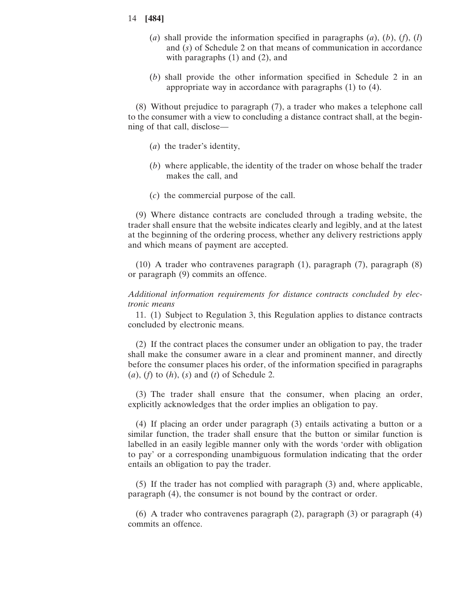- (*a*) shall provide the information specified in paragraphs (*a*), (*b*), (*f*), (*l*) and (*s*) of Schedule 2 on that means of communication in accordance with paragraphs  $(1)$  and  $(2)$ , and
- (*b*) shall provide the other information specified in Schedule 2 in an appropriate way in accordance with paragraphs (1) to (4).

(8) Without prejudice to paragraph (7), a trader who makes a telephone call to the consumer with a view to concluding a distance contract shall, at the beginning of that call, disclose—

- (*a*) the trader's identity,
- (*b*) where applicable, the identity of the trader on whose behalf the trader makes the call, and
- (*c*) the commercial purpose of the call.

(9) Where distance contracts are concluded through a trading website, the trader shall ensure that the website indicates clearly and legibly, and at the latest at the beginning of the ordering process, whether any delivery restrictions apply and which means of payment are accepted.

(10) A trader who contravenes paragraph (1), paragraph (7), paragraph (8) or paragraph (9) commits an offence.

*Additional information requirements for distance contracts concluded by electronic means*

11. (1) Subject to Regulation 3, this Regulation applies to distance contracts concluded by electronic means.

(2) If the contract places the consumer under an obligation to pay, the trader shall make the consumer aware in a clear and prominent manner, and directly before the consumer places his order, of the information specified in paragraphs (*a*), (*f*) to (*h*), (*s*) and (*t*) of Schedule 2.

(3) The trader shall ensure that the consumer, when placing an order, explicitly acknowledges that the order implies an obligation to pay.

(4) If placing an order under paragraph (3) entails activating a button or a similar function, the trader shall ensure that the button or similar function is labelled in an easily legible manner only with the words 'order with obligation to pay' or a corresponding unambiguous formulation indicating that the order entails an obligation to pay the trader.

(5) If the trader has not complied with paragraph (3) and, where applicable, paragraph (4), the consumer is not bound by the contract or order.

(6) A trader who contravenes paragraph (2), paragraph (3) or paragraph (4) commits an offence.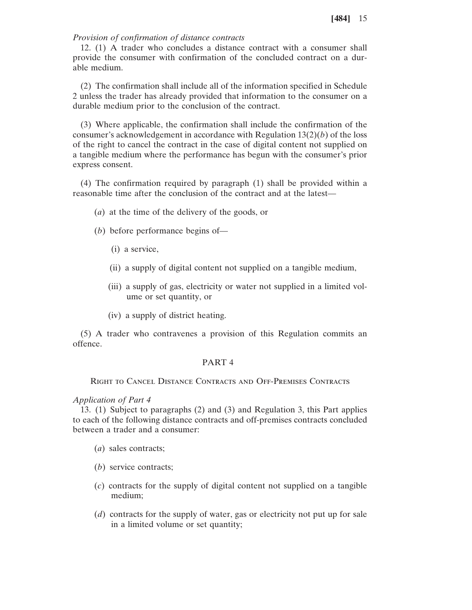# *Provision of confirmation of distance contracts*

12. (1) A trader who concludes a distance contract with a consumer shall provide the consumer with confirmation of the concluded contract on a durable medium.

(2) The confirmation shall include all of the information specified in Schedule 2 unless the trader has already provided that information to the consumer on a durable medium prior to the conclusion of the contract.

(3) Where applicable, the confirmation shall include the confirmation of the consumer's acknowledgement in accordance with Regulation 13(2)(*b*) of the loss of the right to cancel the contract in the case of digital content not supplied on a tangible medium where the performance has begun with the consumer's prior express consent.

(4) The confirmation required by paragraph (1) shall be provided within a reasonable time after the conclusion of the contract and at the latest—

- (*a*) at the time of the delivery of the goods, or
- (*b*) before performance begins of—
	- (i) a service,
	- (ii) a supply of digital content not supplied on a tangible medium,
	- (iii) a supply of gas, electricity or water not supplied in a limited volume or set quantity, or
	- (iv) a supply of district heating.

(5) A trader who contravenes a provision of this Regulation commits an offence.

### PART 4

Right to Cancel Distance Contracts and Off-Premises Contracts

# *Application of Part 4*

13. (1) Subject to paragraphs (2) and (3) and Regulation 3, this Part applies to each of the following distance contracts and off-premises contracts concluded between a trader and a consumer:

- (*a*) sales contracts;
- (*b*) service contracts;
- (*c*) contracts for the supply of digital content not supplied on a tangible medium;
- (*d*) contracts for the supply of water, gas or electricity not put up for sale in a limited volume or set quantity;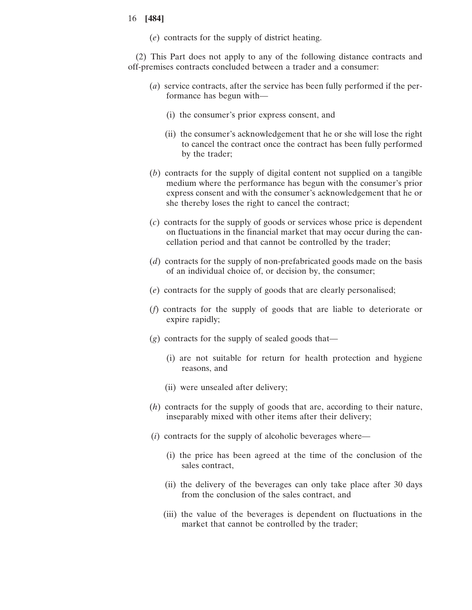(*e*) contracts for the supply of district heating.

(2) This Part does not apply to any of the following distance contracts and off-premises contracts concluded between a trader and a consumer:

- (*a*) service contracts, after the service has been fully performed if the performance has begun with—
	- (i) the consumer's prior express consent, and
	- (ii) the consumer's acknowledgement that he or she will lose the right to cancel the contract once the contract has been fully performed by the trader;
- (*b*) contracts for the supply of digital content not supplied on a tangible medium where the performance has begun with the consumer's prior express consent and with the consumer's acknowledgement that he or she thereby loses the right to cancel the contract;
- (*c*) contracts for the supply of goods or services whose price is dependent on fluctuations in the financial market that may occur during the cancellation period and that cannot be controlled by the trader;
- (*d*) contracts for the supply of non-prefabricated goods made on the basis of an individual choice of, or decision by, the consumer;
- (*e*) contracts for the supply of goods that are clearly personalised;
- (*f*) contracts for the supply of goods that are liable to deteriorate or expire rapidly;
- (*g*) contracts for the supply of sealed goods that—
	- (i) are not suitable for return for health protection and hygiene reasons, and
	- (ii) were unsealed after delivery;
- (*h*) contracts for the supply of goods that are, according to their nature, inseparably mixed with other items after their delivery;
- (*i*) contracts for the supply of alcoholic beverages where—
	- (i) the price has been agreed at the time of the conclusion of the sales contract,
	- (ii) the delivery of the beverages can only take place after 30 days from the conclusion of the sales contract, and
	- (iii) the value of the beverages is dependent on fluctuations in the market that cannot be controlled by the trader;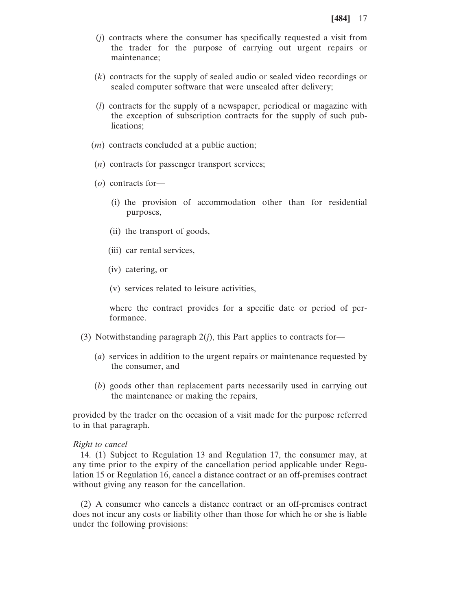- (*j*) contracts where the consumer has specifically requested a visit from the trader for the purpose of carrying out urgent repairs or maintenance;
- (*k*) contracts for the supply of sealed audio or sealed video recordings or sealed computer software that were unsealed after delivery;
- (*l*) contracts for the supply of a newspaper, periodical or magazine with the exception of subscription contracts for the supply of such publications;
- (*m*) contracts concluded at a public auction;
- (*n*) contracts for passenger transport services;
- (*o*) contracts for—
	- (i) the provision of accommodation other than for residential purposes,
	- (ii) the transport of goods,
	- (iii) car rental services,
	- (iv) catering, or
	- (v) services related to leisure activities,

where the contract provides for a specific date or period of performance.

- (3) Notwithstanding paragraph  $2(i)$ , this Part applies to contracts for-
	- (*a*) services in addition to the urgent repairs or maintenance requested by the consumer, and
	- (*b*) goods other than replacement parts necessarily used in carrying out the maintenance or making the repairs,

provided by the trader on the occasion of a visit made for the purpose referred to in that paragraph.

### *Right to cancel*

14. (1) Subject to Regulation 13 and Regulation 17, the consumer may, at any time prior to the expiry of the cancellation period applicable under Regulation 15 or Regulation 16, cancel a distance contract or an off-premises contract without giving any reason for the cancellation.

(2) A consumer who cancels a distance contract or an off-premises contract does not incur any costs or liability other than those for which he or she is liable under the following provisions: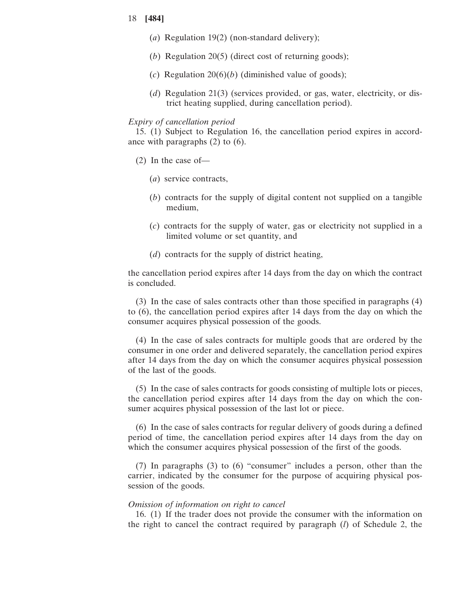- (*a*) Regulation 19(2) (non-standard delivery);
- (*b*) Regulation 20(5) (direct cost of returning goods);
- (*c*) Regulation 20(6)(*b*) (diminished value of goods);
- (*d*) Regulation 21(3) (services provided, or gas, water, electricity, or district heating supplied, during cancellation period).

## *Expiry of cancellation period*

15. (1) Subject to Regulation 16, the cancellation period expires in accordance with paragraphs (2) to (6).

- (2) In the case of—
	- (*a*) service contracts,
	- (*b*) contracts for the supply of digital content not supplied on a tangible medium,
	- (*c*) contracts for the supply of water, gas or electricity not supplied in a limited volume or set quantity, and
	- (*d*) contracts for the supply of district heating,

the cancellation period expires after 14 days from the day on which the contract is concluded.

(3) In the case of sales contracts other than those specified in paragraphs (4) to (6), the cancellation period expires after 14 days from the day on which the consumer acquires physical possession of the goods.

(4) In the case of sales contracts for multiple goods that are ordered by the consumer in one order and delivered separately, the cancellation period expires after 14 days from the day on which the consumer acquires physical possession of the last of the goods.

(5) In the case of sales contracts for goods consisting of multiple lots or pieces, the cancellation period expires after 14 days from the day on which the consumer acquires physical possession of the last lot or piece.

(6) In the case of sales contracts for regular delivery of goods during a defined period of time, the cancellation period expires after 14 days from the day on which the consumer acquires physical possession of the first of the goods.

(7) In paragraphs (3) to (6) "consumer" includes a person, other than the carrier, indicated by the consumer for the purpose of acquiring physical possession of the goods.

#### *Omission of information on right to cancel*

16. (1) If the trader does not provide the consumer with the information on the right to cancel the contract required by paragraph (*l*) of Schedule 2, the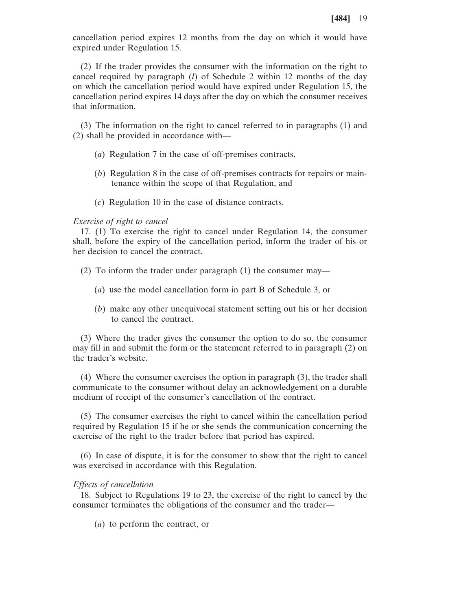cancellation period expires 12 months from the day on which it would have expired under Regulation 15.

(2) If the trader provides the consumer with the information on the right to cancel required by paragraph (*l*) of Schedule 2 within 12 months of the day on which the cancellation period would have expired under Regulation 15, the cancellation period expires 14 days after the day on which the consumer receives that information.

(3) The information on the right to cancel referred to in paragraphs (1) and (2) shall be provided in accordance with—

- (*a*) Regulation 7 in the case of off-premises contracts,
- (*b*) Regulation 8 in the case of off-premises contracts for repairs or maintenance within the scope of that Regulation, and
- (*c*) Regulation 10 in the case of distance contracts.

#### *Exercise of right to cancel*

17. (1) To exercise the right to cancel under Regulation 14, the consumer shall, before the expiry of the cancellation period, inform the trader of his or her decision to cancel the contract.

- (2) To inform the trader under paragraph (1) the consumer may—
	- (*a*) use the model cancellation form in part B of Schedule 3, or
	- (*b*) make any other unequivocal statement setting out his or her decision to cancel the contract.

(3) Where the trader gives the consumer the option to do so, the consumer may fill in and submit the form or the statement referred to in paragraph (2) on the trader's website.

(4) Where the consumer exercises the option in paragraph (3), the trader shall communicate to the consumer without delay an acknowledgement on a durable medium of receipt of the consumer's cancellation of the contract.

(5) The consumer exercises the right to cancel within the cancellation period required by Regulation 15 if he or she sends the communication concerning the exercise of the right to the trader before that period has expired.

(6) In case of dispute, it is for the consumer to show that the right to cancel was exercised in accordance with this Regulation.

### *Effects of cancellation*

18. Subject to Regulations 19 to 23, the exercise of the right to cancel by the consumer terminates the obligations of the consumer and the trader—

(*a*) to perform the contract, or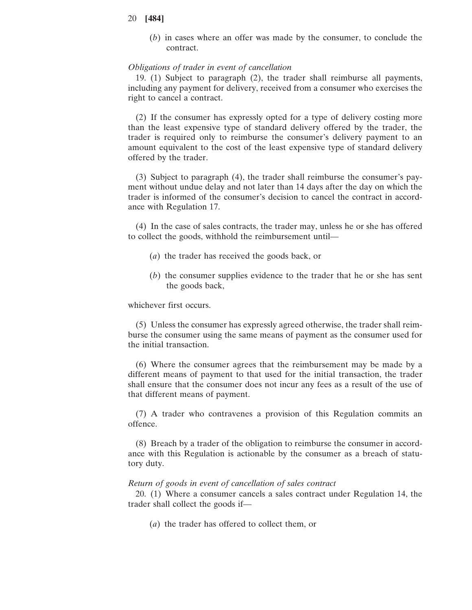(*b*) in cases where an offer was made by the consumer, to conclude the contract.

#### *Obligations of trader in event of cancellation*

19. (1) Subject to paragraph (2), the trader shall reimburse all payments, including any payment for delivery, received from a consumer who exercises the right to cancel a contract.

(2) If the consumer has expressly opted for a type of delivery costing more than the least expensive type of standard delivery offered by the trader, the trader is required only to reimburse the consumer's delivery payment to an amount equivalent to the cost of the least expensive type of standard delivery offered by the trader.

(3) Subject to paragraph (4), the trader shall reimburse the consumer's payment without undue delay and not later than 14 days after the day on which the trader is informed of the consumer's decision to cancel the contract in accordance with Regulation 17.

(4) In the case of sales contracts, the trader may, unless he or she has offered to collect the goods, withhold the reimbursement until—

- (*a*) the trader has received the goods back, or
- (*b*) the consumer supplies evidence to the trader that he or she has sent the goods back,

whichever first occurs.

(5) Unless the consumer has expressly agreed otherwise, the trader shall reimburse the consumer using the same means of payment as the consumer used for the initial transaction.

(6) Where the consumer agrees that the reimbursement may be made by a different means of payment to that used for the initial transaction, the trader shall ensure that the consumer does not incur any fees as a result of the use of that different means of payment.

(7) A trader who contravenes a provision of this Regulation commits an offence.

(8) Breach by a trader of the obligation to reimburse the consumer in accordance with this Regulation is actionable by the consumer as a breach of statutory duty.

#### *Return of goods in event of cancellation of sales contract*

20. (1) Where a consumer cancels a sales contract under Regulation 14, the trader shall collect the goods if—

(*a*) the trader has offered to collect them, or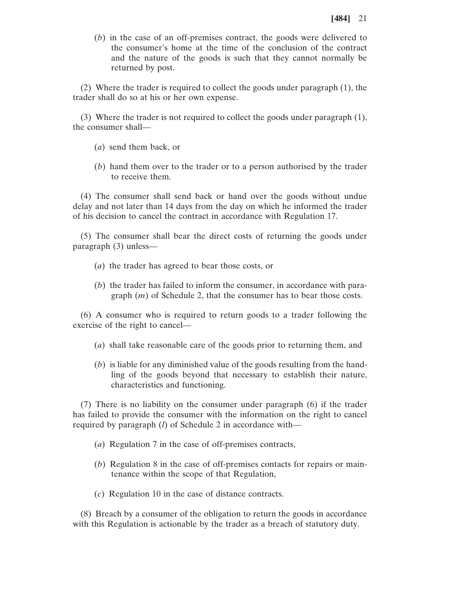(*b*) in the case of an off-premises contract, the goods were delivered to the consumer's home at the time of the conclusion of the contract and the nature of the goods is such that they cannot normally be returned by post.

(2) Where the trader is required to collect the goods under paragraph (1), the trader shall do so at his or her own expense.

(3) Where the trader is not required to collect the goods under paragraph (1), the consumer shall—

- (*a*) send them back, or
- (*b*) hand them over to the trader or to a person authorised by the trader to receive them.

(4) The consumer shall send back or hand over the goods without undue delay and not later than 14 days from the day on which he informed the trader of his decision to cancel the contract in accordance with Regulation 17.

(5) The consumer shall bear the direct costs of returning the goods under paragraph (3) unless—

- (*a*) the trader has agreed to bear those costs, or
- (*b*) the trader has failed to inform the consumer, in accordance with paragraph (*m*) of Schedule 2, that the consumer has to bear those costs.

(6) A consumer who is required to return goods to a trader following the exercise of the right to cancel—

- (*a*) shall take reasonable care of the goods prior to returning them, and
- (*b*) is liable for any diminished value of the goods resulting from the handling of the goods beyond that necessary to establish their nature, characteristics and functioning.

(7) There is no liability on the consumer under paragraph (6) if the trader has failed to provide the consumer with the information on the right to cancel required by paragraph (*l*) of Schedule 2 in accordance with—

- (*a*) Regulation 7 in the case of off-premises contracts,
- (*b*) Regulation 8 in the case of off-premises contacts for repairs or maintenance within the scope of that Regulation,
- (*c*) Regulation 10 in the case of distance contracts.

(8) Breach by a consumer of the obligation to return the goods in accordance with this Regulation is actionable by the trader as a breach of statutory duty.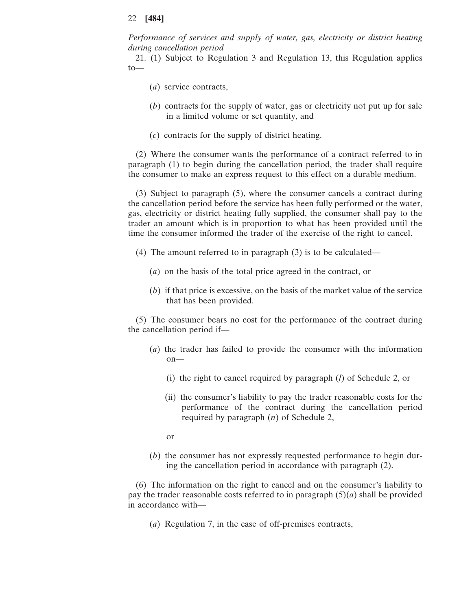*Performance of services and supply of water, gas, electricity or district heating during cancellation period*

21. (1) Subject to Regulation 3 and Regulation 13, this Regulation applies to—

- (*a*) service contracts,
- (*b*) contracts for the supply of water, gas or electricity not put up for sale in a limited volume or set quantity, and
- (*c*) contracts for the supply of district heating.

(2) Where the consumer wants the performance of a contract referred to in paragraph (1) to begin during the cancellation period, the trader shall require the consumer to make an express request to this effect on a durable medium.

(3) Subject to paragraph (5), where the consumer cancels a contract during the cancellation period before the service has been fully performed or the water, gas, electricity or district heating fully supplied, the consumer shall pay to the trader an amount which is in proportion to what has been provided until the time the consumer informed the trader of the exercise of the right to cancel.

- (4) The amount referred to in paragraph (3) is to be calculated—
	- (*a*) on the basis of the total price agreed in the contract, or
	- (*b*) if that price is excessive, on the basis of the market value of the service that has been provided.

(5) The consumer bears no cost for the performance of the contract during the cancellation period if—

- (*a*) the trader has failed to provide the consumer with the information  $on$ —
	- (i) the right to cancel required by paragraph (*l*) of Schedule 2, or
	- (ii) the consumer's liability to pay the trader reasonable costs for the performance of the contract during the cancellation period required by paragraph (*n*) of Schedule 2,
	- or
- (*b*) the consumer has not expressly requested performance to begin during the cancellation period in accordance with paragraph (2).

(6) The information on the right to cancel and on the consumer's liability to pay the trader reasonable costs referred to in paragraph  $(5)(a)$  shall be provided in accordance with—

(*a*) Regulation 7, in the case of off-premises contracts,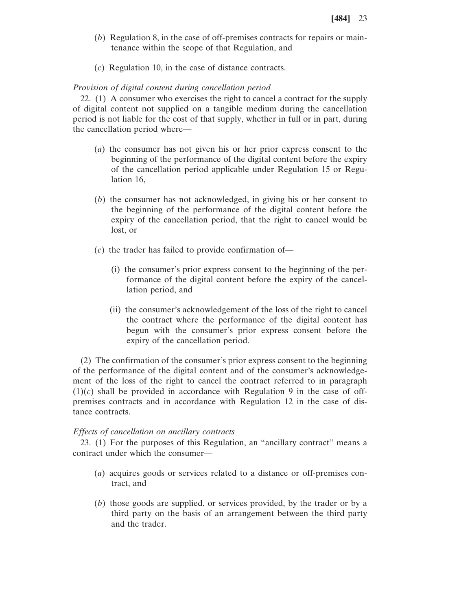- (*b*) Regulation 8, in the case of off-premises contracts for repairs or maintenance within the scope of that Regulation, and
- (*c*) Regulation 10, in the case of distance contracts.

#### *Provision of digital content during cancellation period*

22. (1) A consumer who exercises the right to cancel a contract for the supply of digital content not supplied on a tangible medium during the cancellation period is not liable for the cost of that supply, whether in full or in part, during the cancellation period where—

- (*a*) the consumer has not given his or her prior express consent to the beginning of the performance of the digital content before the expiry of the cancellation period applicable under Regulation 15 or Regulation 16,
- (*b*) the consumer has not acknowledged, in giving his or her consent to the beginning of the performance of the digital content before the expiry of the cancellation period, that the right to cancel would be lost, or
- (*c*) the trader has failed to provide confirmation of—
	- (i) the consumer's prior express consent to the beginning of the performance of the digital content before the expiry of the cancellation period, and
	- (ii) the consumer's acknowledgement of the loss of the right to cancel the contract where the performance of the digital content has begun with the consumer's prior express consent before the expiry of the cancellation period.

(2) The confirmation of the consumer's prior express consent to the beginning of the performance of the digital content and of the consumer's acknowledgement of the loss of the right to cancel the contract referred to in paragraph  $(1)(c)$  shall be provided in accordance with Regulation 9 in the case of offpremises contracts and in accordance with Regulation 12 in the case of distance contracts.

#### *Effects of cancellation on ancillary contracts*

23. (1) For the purposes of this Regulation, an "ancillary contract" means a contract under which the consumer—

- (*a*) acquires goods or services related to a distance or off-premises contract, and
- (*b*) those goods are supplied, or services provided, by the trader or by a third party on the basis of an arrangement between the third party and the trader.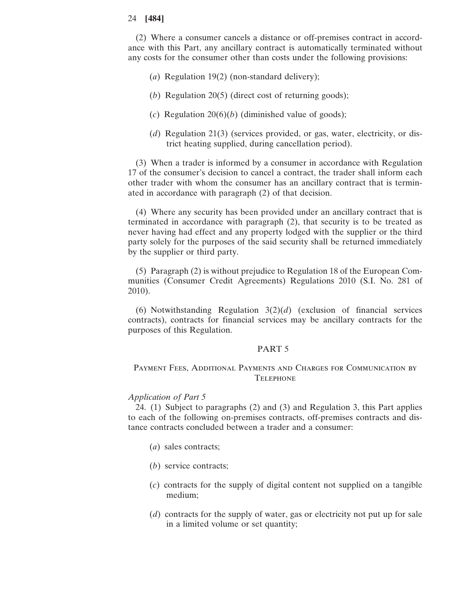(2) Where a consumer cancels a distance or off-premises contract in accordance with this Part, any ancillary contract is automatically terminated without any costs for the consumer other than costs under the following provisions:

- (*a*) Regulation 19(2) (non-standard delivery);
- (*b*) Regulation 20(5) (direct cost of returning goods);
- (*c*) Regulation 20(6)(*b*) (diminished value of goods);
- (*d*) Regulation 21(3) (services provided, or gas, water, electricity, or district heating supplied, during cancellation period).

(3) When a trader is informed by a consumer in accordance with Regulation 17 of the consumer's decision to cancel a contract, the trader shall inform each other trader with whom the consumer has an ancillary contract that is terminated in accordance with paragraph (2) of that decision.

(4) Where any security has been provided under an ancillary contract that is terminated in accordance with paragraph (2), that security is to be treated as never having had effect and any property lodged with the supplier or the third party solely for the purposes of the said security shall be returned immediately by the supplier or third party.

(5) Paragraph (2) is without prejudice to Regulation 18 of the European Communities (Consumer Credit Agreements) Regulations 2010 (S.I. No. 281 of 2010).

(6) Notwithstanding Regulation 3(2)(*d*) (exclusion of financial services contracts), contracts for financial services may be ancillary contracts for the purposes of this Regulation.

### PART 5

## Payment Fees, Additional Payments and Charges for Communication by **TELEPHONE**

### *Application of Part 5*

24. (1) Subject to paragraphs (2) and (3) and Regulation 3, this Part applies to each of the following on-premises contracts, off-premises contracts and distance contracts concluded between a trader and a consumer:

- (*a*) sales contracts;
- (*b*) service contracts;
- (*c*) contracts for the supply of digital content not supplied on a tangible medium;
- (*d*) contracts for the supply of water, gas or electricity not put up for sale in a limited volume or set quantity;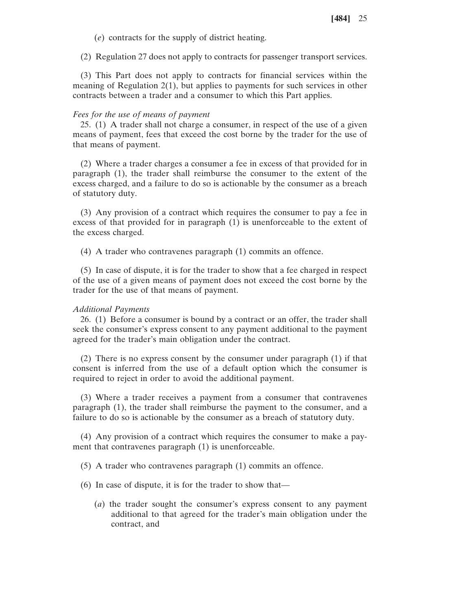(*e*) contracts for the supply of district heating.

(2) Regulation 27 does not apply to contracts for passenger transport services.

(3) This Part does not apply to contracts for financial services within the meaning of Regulation 2(1), but applies to payments for such services in other contracts between a trader and a consumer to which this Part applies.

#### *Fees for the use of means of payment*

25. (1) A trader shall not charge a consumer, in respect of the use of a given means of payment, fees that exceed the cost borne by the trader for the use of that means of payment.

(2) Where a trader charges a consumer a fee in excess of that provided for in paragraph (1), the trader shall reimburse the consumer to the extent of the excess charged, and a failure to do so is actionable by the consumer as a breach of statutory duty.

(3) Any provision of a contract which requires the consumer to pay a fee in excess of that provided for in paragraph (1) is unenforceable to the extent of the excess charged.

(4) A trader who contravenes paragraph (1) commits an offence.

(5) In case of dispute, it is for the trader to show that a fee charged in respect of the use of a given means of payment does not exceed the cost borne by the trader for the use of that means of payment.

### *Additional Payments*

26. (1) Before a consumer is bound by a contract or an offer, the trader shall seek the consumer's express consent to any payment additional to the payment agreed for the trader's main obligation under the contract.

(2) There is no express consent by the consumer under paragraph (1) if that consent is inferred from the use of a default option which the consumer is required to reject in order to avoid the additional payment.

(3) Where a trader receives a payment from a consumer that contravenes paragraph (1), the trader shall reimburse the payment to the consumer, and a failure to do so is actionable by the consumer as a breach of statutory duty.

(4) Any provision of a contract which requires the consumer to make a payment that contravenes paragraph (1) is unenforceable.

(5) A trader who contravenes paragraph (1) commits an offence.

- (6) In case of dispute, it is for the trader to show that—
	- (*a*) the trader sought the consumer's express consent to any payment additional to that agreed for the trader's main obligation under the contract, and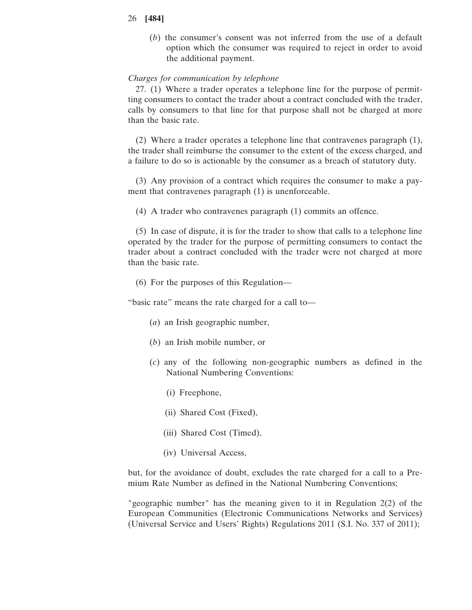(*b*) the consumer's consent was not inferred from the use of a default option which the consumer was required to reject in order to avoid the additional payment.

### *Charges for communication by telephone*

27. (1) Where a trader operates a telephone line for the purpose of permitting consumers to contact the trader about a contract concluded with the trader, calls by consumers to that line for that purpose shall not be charged at more than the basic rate.

(2) Where a trader operates a telephone line that contravenes paragraph (1), the trader shall reimburse the consumer to the extent of the excess charged, and a failure to do so is actionable by the consumer as a breach of statutory duty.

(3) Any provision of a contract which requires the consumer to make a payment that contravenes paragraph (1) is unenforceable.

(4) A trader who contravenes paragraph (1) commits an offence.

(5) In case of dispute, it is for the trader to show that calls to a telephone line operated by the trader for the purpose of permitting consumers to contact the trader about a contract concluded with the trader were not charged at more than the basic rate.

(6) For the purposes of this Regulation—

"basic rate" means the rate charged for a call to—

- (*a*) an Irish geographic number,
- (*b*) an Irish mobile number, or
- (*c*) any of the following non-geographic numbers as defined in the National Numbering Conventions:
	- (i) Freephone,
	- (ii) Shared Cost (Fixed),
	- (iii) Shared Cost (Timed),
	- (iv) Universal Access,

but, for the avoidance of doubt, excludes the rate charged for a call to a Premium Rate Number as defined in the National Numbering Conventions;

"geographic number" has the meaning given to it in Regulation 2(2) of the European Communities (Electronic Communications Networks and Services) (Universal Service and Users' Rights) Regulations 2011 (S.I. No. 337 of 2011);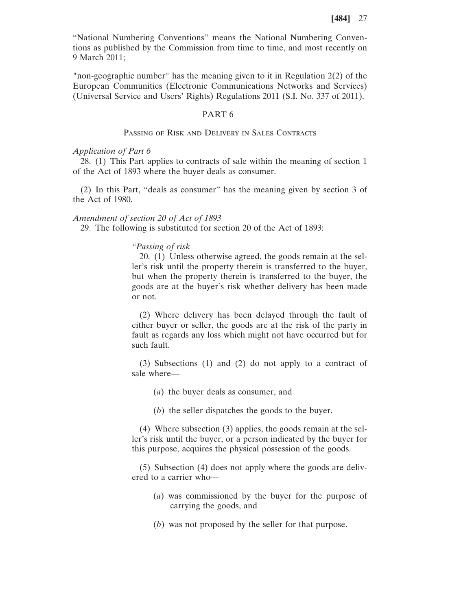"National Numbering Conventions" means the National Numbering Conventions as published by the Commission from time to time, and most recently on 9 March 2011;

"non-geographic number" has the meaning given to it in Regulation 2(2) of the European Communities (Electronic Communications Networks and Services) (Universal Service and Users' Rights) Regulations 2011 (S.I. No. 337 of 2011).

# PART 6

### Passing of Risk and Delivery in Sales Contracts

#### *Application of Part 6*

28. (1) This Part applies to contracts of sale within the meaning of section 1 of the Act of 1893 where the buyer deals as consumer.

(2) In this Part, "deals as consumer" has the meaning given by section 3 of the Act of 1980.

### *Amendment of section 20 of Act of 1893*

29. The following is substituted for section 20 of the Act of 1893:

# *"Passing of risk*

20. (1) Unless otherwise agreed, the goods remain at the seller's risk until the property therein is transferred to the buyer, but when the property therein is transferred to the buyer, the goods are at the buyer's risk whether delivery has been made or not.

(2) Where delivery has been delayed through the fault of either buyer or seller, the goods are at the risk of the party in fault as regards any loss which might not have occurred but for such fault.

(3) Subsections (1) and (2) do not apply to a contract of sale where—

(*a*) the buyer deals as consumer, and

(*b*) the seller dispatches the goods to the buyer.

(4) Where subsection (3) applies, the goods remain at the seller's risk until the buyer, or a person indicated by the buyer for this purpose, acquires the physical possession of the goods.

(5) Subsection (4) does not apply where the goods are delivered to a carrier who—

- (*a*) was commissioned by the buyer for the purpose of carrying the goods, and
- (*b*) was not proposed by the seller for that purpose.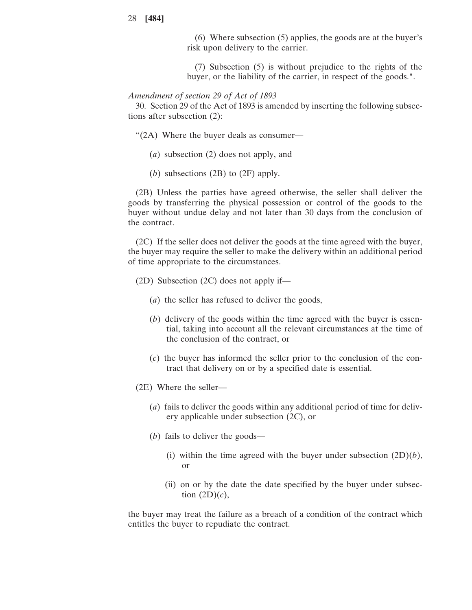(6) Where subsection (5) applies, the goods are at the buyer's risk upon delivery to the carrier.

(7) Subsection (5) is without prejudice to the rights of the buyer, or the liability of the carrier, in respect of the goods.".

*Amendment of section 29 of Act of 1893*

30. Section 29 of the Act of 1893 is amended by inserting the following subsections after subsection (2):

- "(2A) Where the buyer deals as consumer—
	- (*a*) subsection (2) does not apply, and
	- (*b*) subsections (2B) to (2F) apply.

(2B) Unless the parties have agreed otherwise, the seller shall deliver the goods by transferring the physical possession or control of the goods to the buyer without undue delay and not later than 30 days from the conclusion of the contract.

(2C) If the seller does not deliver the goods at the time agreed with the buyer, the buyer may require the seller to make the delivery within an additional period of time appropriate to the circumstances.

- (2D) Subsection (2C) does not apply if—
	- (*a*) the seller has refused to deliver the goods,
	- (*b*) delivery of the goods within the time agreed with the buyer is essential, taking into account all the relevant circumstances at the time of the conclusion of the contract, or
	- (*c*) the buyer has informed the seller prior to the conclusion of the contract that delivery on or by a specified date is essential.
- (2E) Where the seller—
	- (*a*) fails to deliver the goods within any additional period of time for delivery applicable under subsection (2C), or
	- (*b*) fails to deliver the goods—
		- (i) within the time agreed with the buyer under subsection  $(2D)(b)$ , or
		- (ii) on or by the date the date specified by the buyer under subsection  $(2D)(c)$ ,

the buyer may treat the failure as a breach of a condition of the contract which entitles the buyer to repudiate the contract.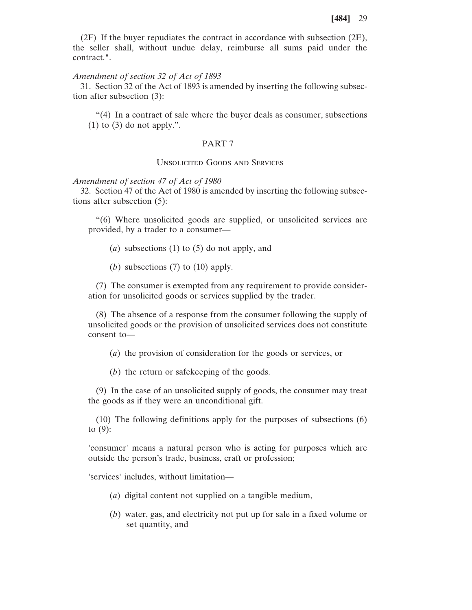(2F) If the buyer repudiates the contract in accordance with subsection (2E), the seller shall, without undue delay, reimburse all sums paid under the contract.".

## *Amendment of section 32 of Act of 1893*

31. Section 32 of the Act of 1893 is amended by inserting the following subsection after subsection (3):

"(4) In a contract of sale where the buyer deals as consumer, subsections  $(1)$  to  $(3)$  do not apply.".

#### PART 7

### Unsolicited Goods and Services

# *Amendment of section 47 of Act of 1980*

32. Section 47 of the Act of 1980 is amended by inserting the following subsections after subsection (5):

"(6) Where unsolicited goods are supplied, or unsolicited services are provided, by a trader to a consumer—

- (*a*) subsections (1) to (5) do not apply, and
- (*b*) subsections (7) to (10) apply.

(7) The consumer is exempted from any requirement to provide consideration for unsolicited goods or services supplied by the trader.

(8) The absence of a response from the consumer following the supply of unsolicited goods or the provision of unsolicited services does not constitute consent to—

(*a*) the provision of consideration for the goods or services, or

(*b*) the return or safekeeping of the goods.

(9) In the case of an unsolicited supply of goods, the consumer may treat the goods as if they were an unconditional gift.

(10) The following definitions apply for the purposes of subsections (6) to (9):

'consumer' means a natural person who is acting for purposes which are outside the person's trade, business, craft or profession;

'services' includes, without limitation—

- (*a*) digital content not supplied on a tangible medium,
- (*b*) water, gas, and electricity not put up for sale in a fixed volume or set quantity, and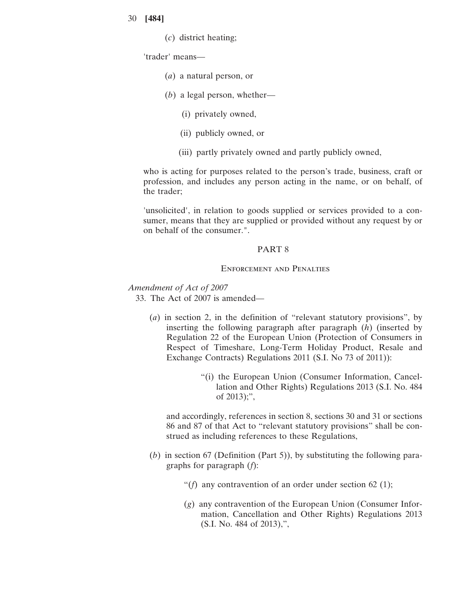- 30 **[484]**
	- (*c*) district heating;

'trader' means—

- (*a*) a natural person, or
- (*b*) a legal person, whether—
	- (i) privately owned,
	- (ii) publicly owned, or
	- (iii) partly privately owned and partly publicly owned,

who is acting for purposes related to the person's trade, business, craft or profession, and includes any person acting in the name, or on behalf, of the trader;

'unsolicited', in relation to goods supplied or services provided to a consumer, means that they are supplied or provided without any request by or on behalf of the consumer.".

### PART 8

### Enforcement and Penalties

*Amendment of Act of 2007*

33. The Act of 2007 is amended—

- (*a*) in section 2, in the definition of "relevant statutory provisions", by inserting the following paragraph after paragraph (*h*) (inserted by Regulation 22 of the European Union (Protection of Consumers in Respect of Timeshare, Long-Term Holiday Product, Resale and Exchange Contracts) Regulations 2011 (S.I. No 73 of 2011)):
	- "(i) the European Union (Consumer Information, Cancellation and Other Rights) Regulations 2013 (S.I. No. 484 of 2013);",

and accordingly, references in section 8, sections 30 and 31 or sections 86 and 87 of that Act to "relevant statutory provisions" shall be construed as including references to these Regulations,

- (*b*) in section 67 (Definition (Part 5)), by substituting the following paragraphs for paragraph (*f*):
	- "(*f*) any contravention of an order under section 62 (1);
	- (*g*) any contravention of the European Union (Consumer Information, Cancellation and Other Rights) Regulations 2013 (S.I. No. 484 of 2013),",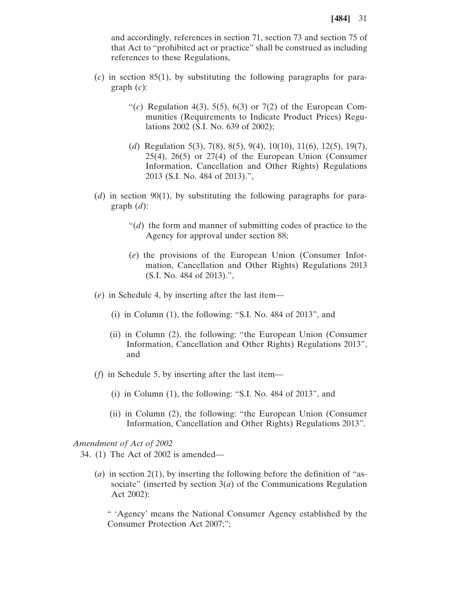and accordingly, references in section 71, section 73 and section 75 of that Act to "prohibited act or practice" shall be construed as including references to these Regulations,

- (*c*) in section 85(1), by substituting the following paragraphs for paragraph (*c*):
	- "(c) Regulation 4(3),  $5(5)$ ,  $6(3)$  or  $7(2)$  of the European Communities (Requirements to Indicate Product Prices) Regulations 2002 (S.I. No. 639 of 2002);
	- (*d*) Regulation 5(3), 7(8), 8(5), 9(4), 10(10), 11(6), 12(5), 19(7),  $25(4)$ ,  $26(5)$  or  $27(4)$  of the European Union (Consumer Information, Cancellation and Other Rights) Regulations 2013 (S.I. No. 484 of 2013).",
- (*d*) in section 90(1), by substituting the following paragraphs for paragraph (*d*):
	- " $(d)$  the form and manner of submitting codes of practice to the Agency for approval under section 88;
	- (*e*) the provisions of the European Union (Consumer Information, Cancellation and Other Rights) Regulations 2013 (S.I. No. 484 of 2013).",
- (*e*) in Schedule 4, by inserting after the last item—
	- (i) in Column (1), the following: "S.I. No. 484 of 2013", and
	- (ii) in Column (2), the following: "the European Union (Consumer Information, Cancellation and Other Rights) Regulations 2013", and
- (*f*) in Schedule 5, by inserting after the last item—
	- (i) in Column (1), the following: "S.I. No. 484 of 2013", and
	- (ii) in Column (2), the following: "the European Union (Consumer Information, Cancellation and Other Rights) Regulations 2013".

### *Amendment of Act of 2002*

34. (1) The Act of 2002 is amended—

(*a*) in section 2(1), by inserting the following before the definition of "associate" (inserted by section  $3(a)$  of the Communications Regulation Act 2002):

" 'Agency' means the National Consumer Agency established by the Consumer Protection Act 2007;";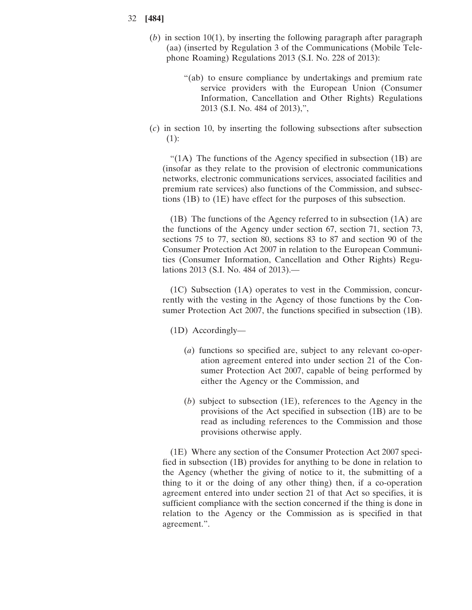- (*b*) in section 10(1), by inserting the following paragraph after paragraph (aa) (inserted by Regulation 3 of the Communications (Mobile Telephone Roaming) Regulations 2013 (S.I. No. 228 of 2013):
	- "(ab) to ensure compliance by undertakings and premium rate service providers with the European Union (Consumer Information, Cancellation and Other Rights) Regulations 2013 (S.I. No. 484 of 2013),",
- (*c*) in section 10, by inserting the following subsections after subsection  $(1):$

"(1A) The functions of the Agency specified in subsection (1B) are (insofar as they relate to the provision of electronic communications networks, electronic communications services, associated facilities and premium rate services) also functions of the Commission, and subsections (1B) to (1E) have effect for the purposes of this subsection.

(1B) The functions of the Agency referred to in subsection (1A) are the functions of the Agency under section 67, section 71, section 73, sections 75 to 77, section 80, sections 83 to 87 and section 90 of the Consumer Protection Act 2007 in relation to the European Communities (Consumer Information, Cancellation and Other Rights) Regulations 2013 (S.I. No. 484 of 2013).—

(1C) Subsection (1A) operates to vest in the Commission, concurrently with the vesting in the Agency of those functions by the Consumer Protection Act 2007, the functions specified in subsection (1B).

(1D) Accordingly—

- (*a*) functions so specified are, subject to any relevant co-operation agreement entered into under section 21 of the Consumer Protection Act 2007, capable of being performed by either the Agency or the Commission, and
- (*b*) subject to subsection (1E), references to the Agency in the provisions of the Act specified in subsection (1B) are to be read as including references to the Commission and those provisions otherwise apply.

(1E) Where any section of the Consumer Protection Act 2007 specified in subsection (1B) provides for anything to be done in relation to the Agency (whether the giving of notice to it, the submitting of a thing to it or the doing of any other thing) then, if a co-operation agreement entered into under section 21 of that Act so specifies, it is sufficient compliance with the section concerned if the thing is done in relation to the Agency or the Commission as is specified in that agreement.".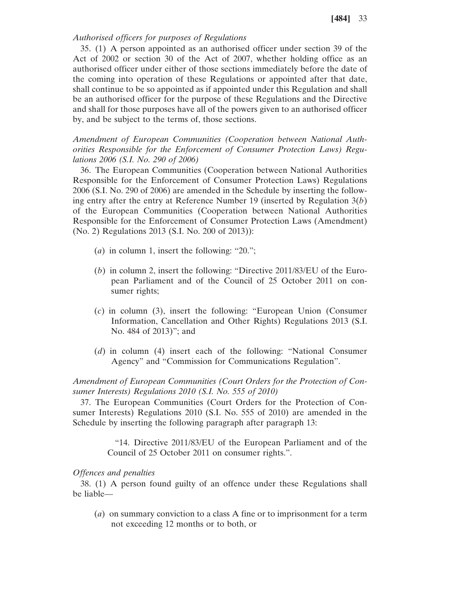# *Authorised officers for purposes of Regulations*

35. (1) A person appointed as an authorised officer under section 39 of the Act of 2002 or section 30 of the Act of 2007, whether holding office as an authorised officer under either of those sections immediately before the date of the coming into operation of these Regulations or appointed after that date, shall continue to be so appointed as if appointed under this Regulation and shall be an authorised officer for the purpose of these Regulations and the Directive and shall for those purposes have all of the powers given to an authorised officer by, and be subject to the terms of, those sections.

*Amendment of European Communities (Cooperation between National Authorities Responsible for the Enforcement of Consumer Protection Laws) Regulations 2006 (S.I. No. 290 of 2006)*

36. The European Communities (Cooperation between National Authorities Responsible for the Enforcement of Consumer Protection Laws) Regulations 2006 (S.I. No. 290 of 2006) are amended in the Schedule by inserting the following entry after the entry at Reference Number 19 (inserted by Regulation 3(*b*) of the European Communities (Cooperation between National Authorities Responsible for the Enforcement of Consumer Protection Laws (Amendment) (No. 2) Regulations 2013 (S.I. No. 200 of 2013)):

- (*a*) in column 1, insert the following: "20.";
- (*b*) in column 2, insert the following: "Directive 2011/83/EU of the European Parliament and of the Council of 25 October 2011 on consumer rights;
- (*c*) in column (3), insert the following: "European Union (Consumer Information, Cancellation and Other Rights) Regulations 2013 (S.I. No. 484 of 2013)"; and
- (*d*) in column (4) insert each of the following: "National Consumer Agency" and "Commission for Communications Regulation".

*Amendment of European Communities (Court Orders for the Protection of Consumer Interests) Regulations 2010 (S.I. No. 555 of 2010)*

37. The European Communities (Court Orders for the Protection of Consumer Interests) Regulations 2010 (S.I. No. 555 of 2010) are amended in the Schedule by inserting the following paragraph after paragraph 13:

> "14. Directive 2011/83/EU of the European Parliament and of the Council of 25 October 2011 on consumer rights.".

### *Offences and penalties*

38. (1) A person found guilty of an offence under these Regulations shall be liable—

(*a*) on summary conviction to a class A fine or to imprisonment for a term not exceeding 12 months or to both, or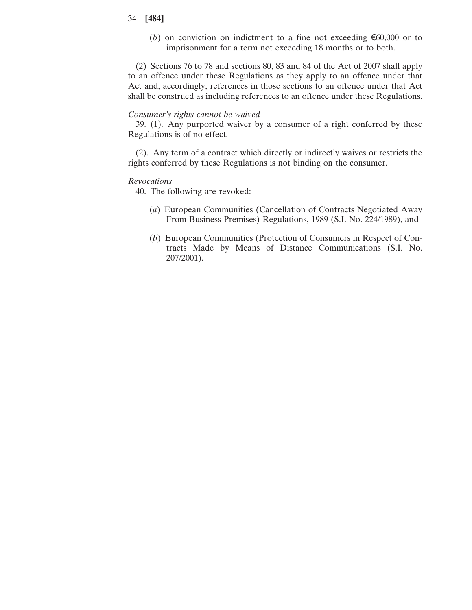(*b*) on conviction on indictment to a fine not exceeding  $\epsilon$ 60,000 or to imprisonment for a term not exceeding 18 months or to both.

(2) Sections 76 to 78 and sections 80, 83 and 84 of the Act of 2007 shall apply to an offence under these Regulations as they apply to an offence under that Act and, accordingly, references in those sections to an offence under that Act shall be construed as including references to an offence under these Regulations.

# *Consumer's rights cannot be waived*

39. (1). Any purported waiver by a consumer of a right conferred by these Regulations is of no effect.

(2). Any term of a contract which directly or indirectly waives or restricts the rights conferred by these Regulations is not binding on the consumer.

#### *Revocations*

40. The following are revoked:

- (*a*) European Communities (Cancellation of Contracts Negotiated Away From Business Premises) Regulations, 1989 (S.I. No. 224/1989), and
- (*b*) European Communities (Protection of Consumers in Respect of Contracts Made by Means of Distance Communications (S.I. No. 207/2001).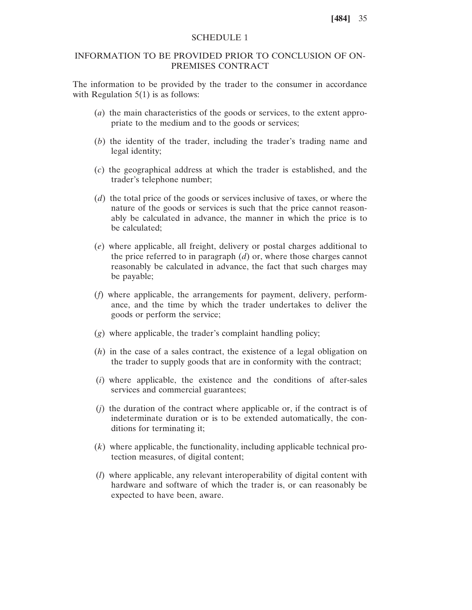# SCHEDULE 1

# INFORMATION TO BE PROVIDED PRIOR TO CONCLUSION OF ON-PREMISES CONTRACT

The information to be provided by the trader to the consumer in accordance with Regulation  $5(1)$  is as follows:

- (*a*) the main characteristics of the goods or services, to the extent appropriate to the medium and to the goods or services;
- (*b*) the identity of the trader, including the trader's trading name and legal identity;
- (*c*) the geographical address at which the trader is established, and the trader's telephone number;
- (*d*) the total price of the goods or services inclusive of taxes, or where the nature of the goods or services is such that the price cannot reasonably be calculated in advance, the manner in which the price is to be calculated;
- (*e*) where applicable, all freight, delivery or postal charges additional to the price referred to in paragraph (*d*) or, where those charges cannot reasonably be calculated in advance, the fact that such charges may be payable;
- (*f*) where applicable, the arrangements for payment, delivery, performance, and the time by which the trader undertakes to deliver the goods or perform the service;
- (*g*) where applicable, the trader's complaint handling policy;
- (*h*) in the case of a sales contract, the existence of a legal obligation on the trader to supply goods that are in conformity with the contract;
- (*i*) where applicable, the existence and the conditions of after-sales services and commercial guarantees;
- (*j*) the duration of the contract where applicable or, if the contract is of indeterminate duration or is to be extended automatically, the conditions for terminating it;
- (*k*) where applicable, the functionality, including applicable technical protection measures, of digital content;
- (*l*) where applicable, any relevant interoperability of digital content with hardware and software of which the trader is, or can reasonably be expected to have been, aware.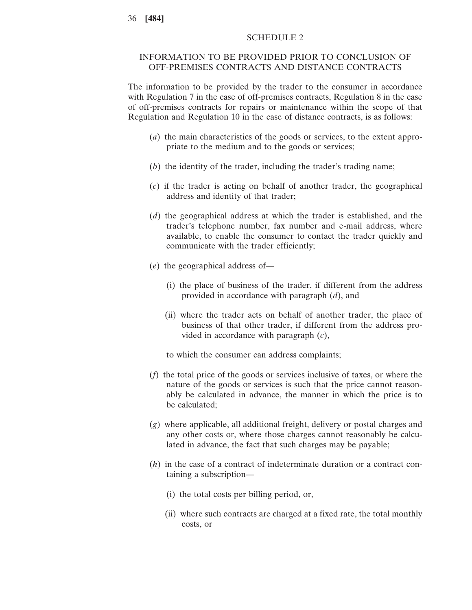# SCHEDULE 2

### INFORMATION TO BE PROVIDED PRIOR TO CONCLUSION OF OFF-PREMISES CONTRACTS AND DISTANCE CONTRACTS

The information to be provided by the trader to the consumer in accordance with Regulation 7 in the case of off-premises contracts, Regulation 8 in the case of off-premises contracts for repairs or maintenance within the scope of that Regulation and Regulation 10 in the case of distance contracts, is as follows:

- (*a*) the main characteristics of the goods or services, to the extent appropriate to the medium and to the goods or services;
- (*b*) the identity of the trader, including the trader's trading name;
- (*c*) if the trader is acting on behalf of another trader, the geographical address and identity of that trader;
- (*d*) the geographical address at which the trader is established, and the trader's telephone number, fax number and e-mail address, where available, to enable the consumer to contact the trader quickly and communicate with the trader efficiently;
- (*e*) the geographical address of—
	- (i) the place of business of the trader, if different from the address provided in accordance with paragraph (*d*), and
	- (ii) where the trader acts on behalf of another trader, the place of business of that other trader, if different from the address provided in accordance with paragraph (*c*),

to which the consumer can address complaints;

- (*f*) the total price of the goods or services inclusive of taxes, or where the nature of the goods or services is such that the price cannot reasonably be calculated in advance, the manner in which the price is to be calculated;
- (*g*) where applicable, all additional freight, delivery or postal charges and any other costs or, where those charges cannot reasonably be calculated in advance, the fact that such charges may be payable;
- (*h*) in the case of a contract of indeterminate duration or a contract containing a subscription—
	- (i) the total costs per billing period, or,
	- (ii) where such contracts are charged at a fixed rate, the total monthly costs, or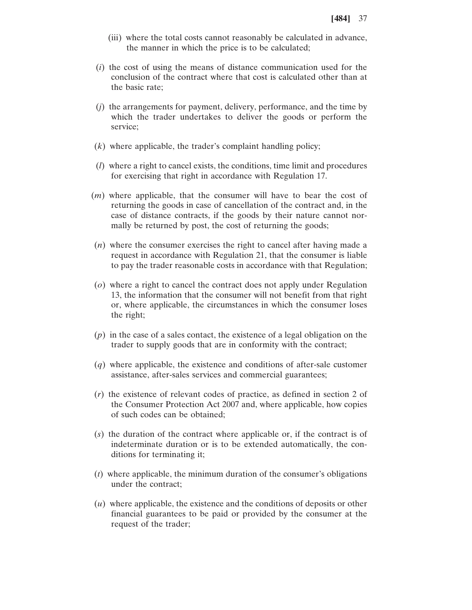- (iii) where the total costs cannot reasonably be calculated in advance, the manner in which the price is to be calculated;
- (*i*) the cost of using the means of distance communication used for the conclusion of the contract where that cost is calculated other than at the basic rate;
- (*j*) the arrangements for payment, delivery, performance, and the time by which the trader undertakes to deliver the goods or perform the service;
- (*k*) where applicable, the trader's complaint handling policy;
- (*l*) where a right to cancel exists, the conditions, time limit and procedures for exercising that right in accordance with Regulation 17.
- (*m*) where applicable, that the consumer will have to bear the cost of returning the goods in case of cancellation of the contract and, in the case of distance contracts, if the goods by their nature cannot normally be returned by post, the cost of returning the goods;
- (*n*) where the consumer exercises the right to cancel after having made a request in accordance with Regulation 21, that the consumer is liable to pay the trader reasonable costs in accordance with that Regulation;
- (*o*) where a right to cancel the contract does not apply under Regulation 13, the information that the consumer will not benefit from that right or, where applicable, the circumstances in which the consumer loses the right;
- (*p*) in the case of a sales contact, the existence of a legal obligation on the trader to supply goods that are in conformity with the contract;
- (*q*) where applicable, the existence and conditions of after-sale customer assistance, after-sales services and commercial guarantees;
- (*r*) the existence of relevant codes of practice, as defined in section 2 of the Consumer Protection Act 2007 and, where applicable, how copies of such codes can be obtained;
- (*s*) the duration of the contract where applicable or, if the contract is of indeterminate duration or is to be extended automatically, the conditions for terminating it;
- (*t*) where applicable, the minimum duration of the consumer's obligations under the contract;
- (*u*) where applicable, the existence and the conditions of deposits or other financial guarantees to be paid or provided by the consumer at the request of the trader;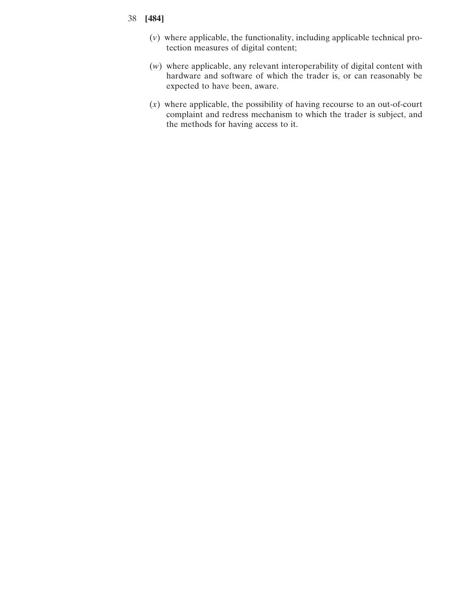- (*v*) where applicable, the functionality, including applicable technical protection measures of digital content;
- (*w*) where applicable, any relevant interoperability of digital content with hardware and software of which the trader is, or can reasonably be expected to have been, aware.
- (*x*) where applicable, the possibility of having recourse to an out-of-court complaint and redress mechanism to which the trader is subject, and the methods for having access to it.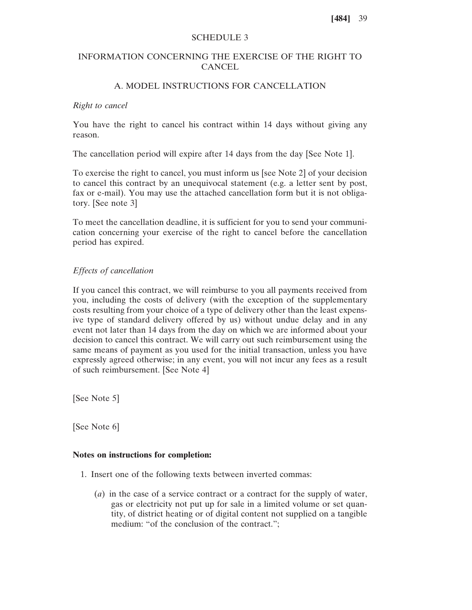## SCHEDULE 3

# INFORMATION CONCERNING THE EXERCISE OF THE RIGHT TO **CANCEL**

## A. MODEL INSTRUCTIONS FOR CANCELLATION

### *Right to cancel*

You have the right to cancel his contract within 14 days without giving any reason.

The cancellation period will expire after 14 days from the day [See Note 1].

To exercise the right to cancel, you must inform us [see Note 2] of your decision to cancel this contract by an unequivocal statement (e.g. a letter sent by post, fax or e-mail). You may use the attached cancellation form but it is not obligatory. [See note 3]

To meet the cancellation deadline, it is sufficient for you to send your communication concerning your exercise of the right to cancel before the cancellation period has expired.

#### *Effects of cancellation*

If you cancel this contract, we will reimburse to you all payments received from you, including the costs of delivery (with the exception of the supplementary costs resulting from your choice of a type of delivery other than the least expensive type of standard delivery offered by us) without undue delay and in any event not later than 14 days from the day on which we are informed about your decision to cancel this contract. We will carry out such reimbursement using the same means of payment as you used for the initial transaction, unless you have expressly agreed otherwise; in any event, you will not incur any fees as a result of such reimbursement. [See Note 4]

[See Note 5]

[See Note 6]

#### **Notes on instructions for completion:**

- 1. Insert one of the following texts between inverted commas:
	- (*a*) in the case of a service contract or a contract for the supply of water, gas or electricity not put up for sale in a limited volume or set quantity, of district heating or of digital content not supplied on a tangible medium: "of the conclusion of the contract.";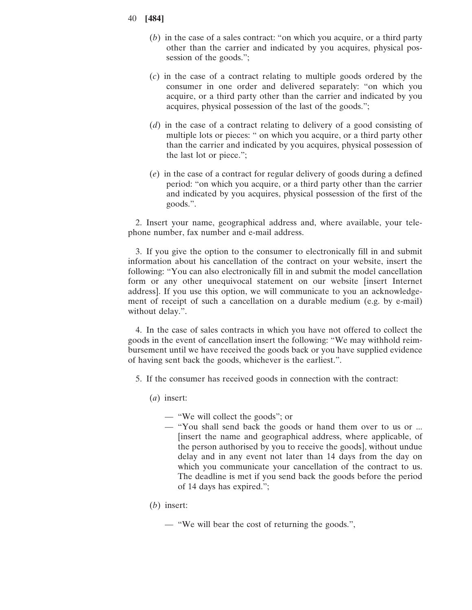- 40 **[484]**
	- (*b*) in the case of a sales contract: "on which you acquire, or a third party other than the carrier and indicated by you acquires, physical possession of the goods.";
	- (*c*) in the case of a contract relating to multiple goods ordered by the consumer in one order and delivered separately: "on which you acquire, or a third party other than the carrier and indicated by you acquires, physical possession of the last of the goods.";
	- (*d*) in the case of a contract relating to delivery of a good consisting of multiple lots or pieces: " on which you acquire, or a third party other than the carrier and indicated by you acquires, physical possession of the last lot or piece.";
	- (*e*) in the case of a contract for regular delivery of goods during a defined period: "on which you acquire, or a third party other than the carrier and indicated by you acquires, physical possession of the first of the goods.".

2. Insert your name, geographical address and, where available, your telephone number, fax number and e-mail address.

3. If you give the option to the consumer to electronically fill in and submit information about his cancellation of the contract on your website, insert the following: "You can also electronically fill in and submit the model cancellation form or any other unequivocal statement on our website [insert Internet address]. If you use this option, we will communicate to you an acknowledgement of receipt of such a cancellation on a durable medium (e.g. by e-mail) without delay.".

4. In the case of sales contracts in which you have not offered to collect the goods in the event of cancellation insert the following: "We may withhold reimbursement until we have received the goods back or you have supplied evidence of having sent back the goods, whichever is the earliest.".

- 5. If the consumer has received goods in connection with the contract:
	- (*a*) insert:
		- "We will collect the goods"; or
		- "You shall send back the goods or hand them over to us or ... [insert the name and geographical address, where applicable, of the person authorised by you to receive the goods], without undue delay and in any event not later than 14 days from the day on which you communicate your cancellation of the contract to us. The deadline is met if you send back the goods before the period of 14 days has expired.";
	- (*b*) insert:
		- "We will bear the cost of returning the goods.",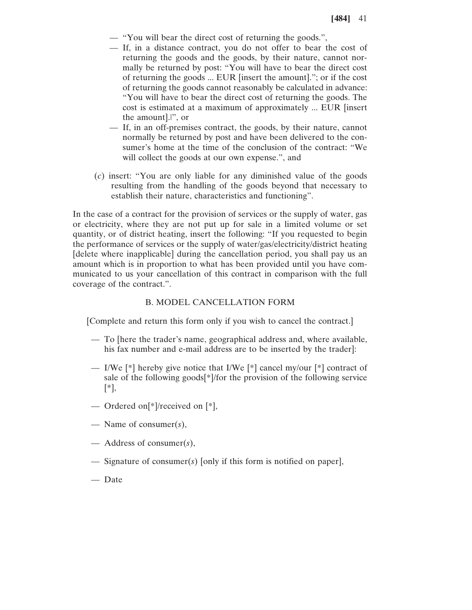- "You will bear the direct cost of returning the goods.",
- If, in a distance contract, you do not offer to bear the cost of returning the goods and the goods, by their nature, cannot normally be returned by post: "You will have to bear the direct cost of returning the goods ... EUR [insert the amount]."; or if the cost of returning the goods cannot reasonably be calculated in advance: "You will have to bear the direct cost of returning the goods. The cost is estimated at a maximum of approximately ... EUR [insert the amount].|", or
- If, in an off-premises contract, the goods, by their nature, cannot normally be returned by post and have been delivered to the consumer's home at the time of the conclusion of the contract: "We will collect the goods at our own expense.", and
- (*c*) insert: "You are only liable for any diminished value of the goods resulting from the handling of the goods beyond that necessary to establish their nature, characteristics and functioning".

In the case of a contract for the provision of services or the supply of water, gas or electricity, where they are not put up for sale in a limited volume or set quantity, or of district heating, insert the following: "If you requested to begin the performance of services or the supply of water/gas/electricity/district heating [delete where inapplicable] during the cancellation period, you shall pay us an amount which is in proportion to what has been provided until you have communicated to us your cancellation of this contract in comparison with the full coverage of the contract.".

### B. MODEL CANCELLATION FORM

[Complete and return this form only if you wish to cancel the contract.]

- To [here the trader's name, geographical address and, where available, his fax number and e-mail address are to be inserted by the trader]:
- I/We  $[*]$  hereby give notice that I/We  $[*]$  cancel my/our  $[*]$  contract of sale of the following goods[\*]/for the provision of the following service [\*],
- Ordered on[\*]/received on [\*],
- Name of consumer(*s*),
- Address of consumer(*s*),
- Signature of consumer(*s*) [only if this form is notified on paper],
- Date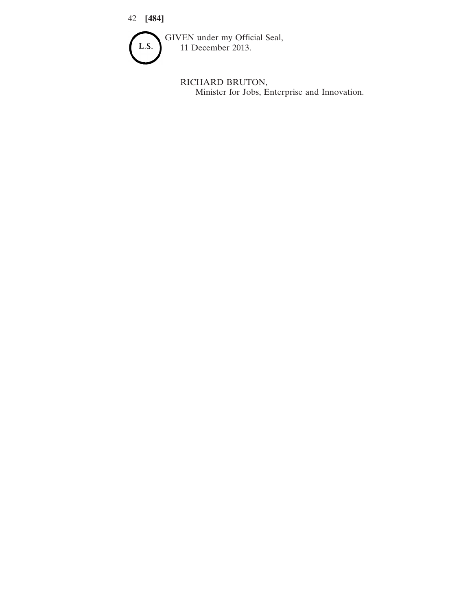

RICHARD BRUTON, Minister for Jobs, Enterprise and Innovation.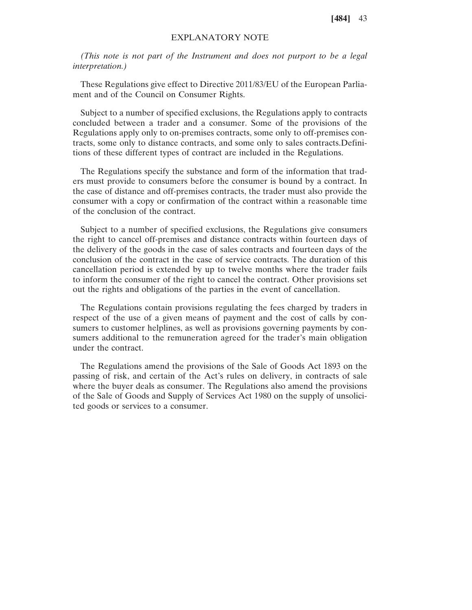# EXPLANATORY NOTE

*(This note is not part of the Instrument and does not purport to be a legal interpretation.)*

These Regulations give effect to Directive 2011/83/EU of the European Parliament and of the Council on Consumer Rights.

Subject to a number of specified exclusions, the Regulations apply to contracts concluded between a trader and a consumer. Some of the provisions of the Regulations apply only to on-premises contracts, some only to off-premises contracts, some only to distance contracts, and some only to sales contracts.Definitions of these different types of contract are included in the Regulations.

The Regulations specify the substance and form of the information that traders must provide to consumers before the consumer is bound by a contract. In the case of distance and off-premises contracts, the trader must also provide the consumer with a copy or confirmation of the contract within a reasonable time of the conclusion of the contract.

Subject to a number of specified exclusions, the Regulations give consumers the right to cancel off-premises and distance contracts within fourteen days of the delivery of the goods in the case of sales contracts and fourteen days of the conclusion of the contract in the case of service contracts. The duration of this cancellation period is extended by up to twelve months where the trader fails to inform the consumer of the right to cancel the contract. Other provisions set out the rights and obligations of the parties in the event of cancellation.

The Regulations contain provisions regulating the fees charged by traders in respect of the use of a given means of payment and the cost of calls by consumers to customer helplines, as well as provisions governing payments by consumers additional to the remuneration agreed for the trader's main obligation under the contract.

The Regulations amend the provisions of the Sale of Goods Act 1893 on the passing of risk, and certain of the Act's rules on delivery, in contracts of sale where the buyer deals as consumer. The Regulations also amend the provisions of the Sale of Goods and Supply of Services Act 1980 on the supply of unsolicited goods or services to a consumer.